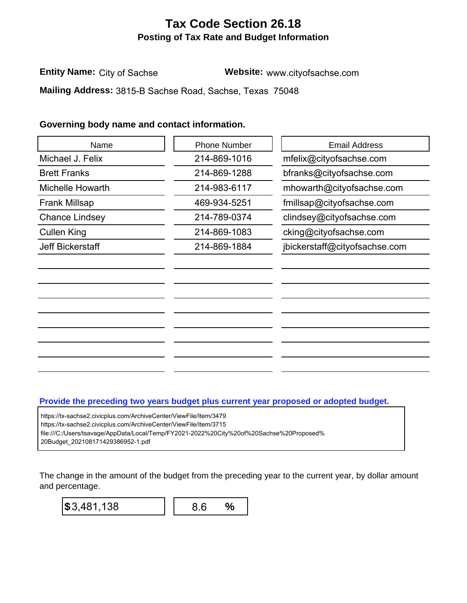## **Tax Code Section 26.18 Posting of Tax Rate and Budget Information**

**Entity Name:** City of Sachse **Website:** www.cityofsachse.com

## **Governing body name and contact information.**

| Name                                                                                                                                                                                                                               | <b>Phone Number</b> | <b>Email Address</b>                                                                 |
|------------------------------------------------------------------------------------------------------------------------------------------------------------------------------------------------------------------------------------|---------------------|--------------------------------------------------------------------------------------|
| Michael J. Felix                                                                                                                                                                                                                   | 214-869-1016        | mfelix@cityofsachse.com                                                              |
| <b>Brett Franks</b>                                                                                                                                                                                                                | 214-869-1288        | bfranks@cityofsachse.com                                                             |
| Michelle Howarth                                                                                                                                                                                                                   | 214-983-6117        | mhowarth@cityofsachse.com                                                            |
| <b>Frank Millsap</b>                                                                                                                                                                                                               | 469-934-5251        | fmillsap@cityofsachse.com                                                            |
| <b>Chance Lindsey</b>                                                                                                                                                                                                              | 214-789-0374        | clindsey@cityofsachse.com                                                            |
| <b>Cullen King</b>                                                                                                                                                                                                                 | 214-869-1083        | cking@cityofsachse.com                                                               |
| <b>Jeff Bickerstaff</b>                                                                                                                                                                                                            | 214-869-1884        | jbickerstaff@cityofsachse.com                                                        |
|                                                                                                                                                                                                                                    |                     |                                                                                      |
| https://tx-sachse2.civicplus.com/ArchiveCenter/ViewFile/Item/3479<br>https://tx-sachse2.civicplus.com/ArchiveCenter/ViewFile/Item/3715<br>file:///C:/Users/tsavage/AppData/Local/Temp/FY2021-2022%20City%20of%20Sachse%20Proposed% |                     | Provide the preceding two years budget plus current year proposed or adopted budget. |
|                                                                                                                                                                                                                                    |                     |                                                                                      |

## **Provide the preceding two years budget plus current year proposed or adopted budget.**